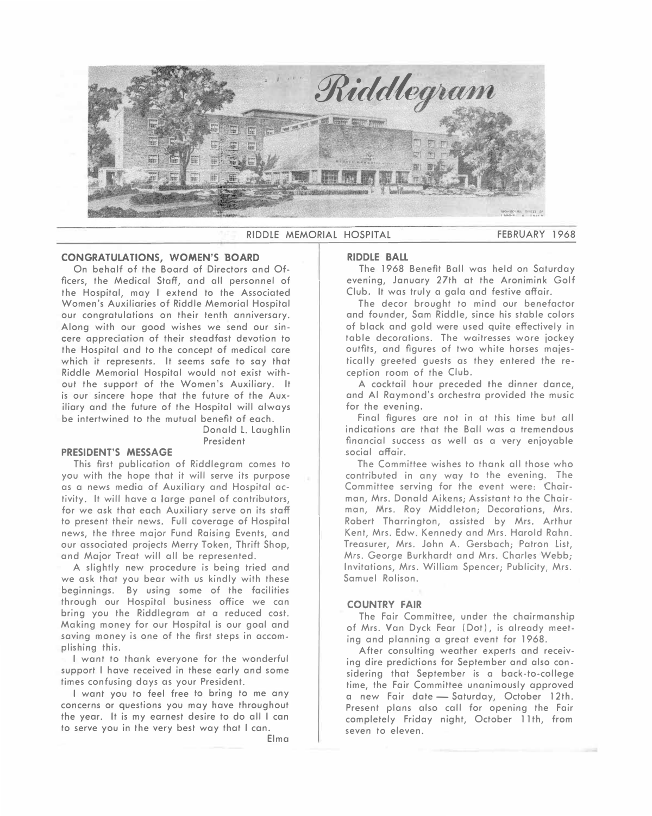

RIDDLE MEMORIAL HOSPITAL **FEBRUARY 1968** 

#### **CONGRATULATIONS, WOMEN'S BOARD**

On behalf of the Board of Directors and Officers, the Medical Staff, and all personnel of the Hospital, may I extend to the Associated Women's Auxiliaries of Riddle Memorial Hospital our congratulations on their tenth anniversary. Along with our good wishes we send our sincere appreciation of their steadfast devotion to the Hospital and to the concept of medical care which it represents. It seems safe to say that Riddle Memorial Hospital would not exist without the support of the Women's Auxiliary. It is our sincere hope that the future of the Auxiliary and the future of the Hospital will always be intertwined to the mutual benefit of each.

> Donald L. Laughlin President

#### **PRESIDENT'S MESSAGE**

This first publication of Riddlegram comes to you with the hope that it will serve its purpose as a news media of Auxiliary and Hospital activity. It will have a large panel of contributors, for we ask that each Auxiliary serve on its staff to present their news. Full coverage of Hospital news, the three major Fund Raising Events, and our associated projects Merry Token, Thrift Shop, and Major Treat will all be represented.

A slightly new procedure is being tried and we ask that you bear with us kindly with these beginnings. By using some of the facilities through our Hospital business office we can bring you the Riddlegram at a reduced cost. Making money for our Hospital is our goal and saving money is one of the first steps in accomplishing this.

I want to thank everyone for the wonderful support I have received in these early and some times confusing days as your President.

I want you to feel free to bring to me any concerns or questions you may have throughout the year. It is my earnest desire to do all I can to serve you in the very best way that I can.

Elma

#### **RIDDLE BALL**

The 1968 Benefit Ball was held on Saturday evening, January 27th at the Aronimink Golf Club. It was truly a gala and festive affair.

The decor brought to mind our benefactor and founder, Sam Riddle, since his stable colors of black and gold were used quite effectively in table decorations. The waitresses wore jockey outfits, and figures of two white horses majestically greeted guests as they entered the reception room of the Club.

A cocktail hour preceded the dinner dance, and Al Raymond's orchestra provided the music for the evening.

Final figures are not in at this time but all indications are that the Ball was a tremendous financial success as well as a very enjoyable social affair.

The Committee wishes to thank all those who contributed in any way to the evening. The Committee serving for the event were: Chairman, Mrs. Donald Aikens; Assistant to the Chairman, Mrs. Roy Middleton; Decorations, Mrs. Robert Tharrington, assisted by Mrs. Arthur Kent, Mrs. Edw. Kennedy and Mrs. Harold Rahn. Treasurer, Mrs. John A. Gersbach; Patron List, Mrs. George Burkhardt and Mrs. Charles Webb; Invitations, Mrs. William Spencer; Publicity, Mrs. Samuel Rolison.

#### **COUNTRY FAIR**

The Fair Committee, under the chairmanship of Mrs. Van Dyck Fear (Dot), is already meeting and planning a great event for 1968.

After consulting weather experts and receiving dire predictions for September and also considering that September is a back-to-college time, the Fair Committee unanimously approved a new Fair date - Saturday, October 12th. Present plans also call for opening the Fair completely Friday night, October 11th, from seven to eleven.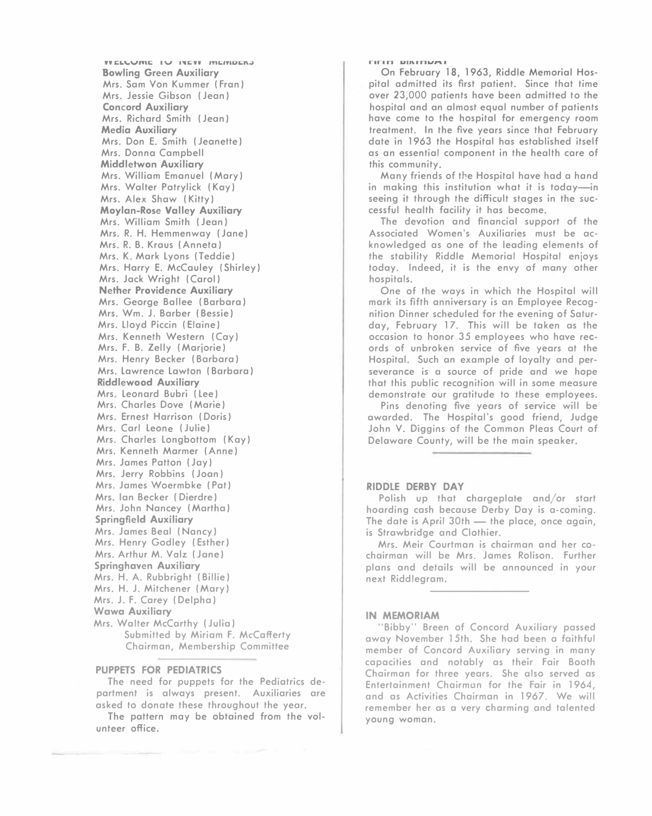**WELLUME IV INEW MEMBERS Bowling Green Auxiliary Mrs. Sam Von Kummer (Fran) Mrs. Jessie Gibson (Jean) Concord Auxiliary Mrs. Richard Smith (Jean) Media Auxiliary Mrs. Don E. Smith (Jeanette) Mrs. Donna Campbell Middletwon Auxiliary Mrs. William Emanuel (Mary) Mrs. Walter Patry lick (Kay) Mrs. Alex Shaw (Kitty) Moylan-Rose Valley Auxiliary Mrs. William Smith (Jean) Mrs. R. H. Hemmenway (Jane) Mrs. R. B. Kraus ( Anneta) Mrs. K. Mark Lyons (Teddie) Mrs. Harry E. McCauley (Shirley) Mrs. Jack Wright (Carol) Nether Providence Auxiliary Mrs. George Bailee (Barbara) Mrs. Wm. J. Barber (Bessie) Mrs. Lloyd Piccin (Elaine) Mrs. Kenneth Western (Cay) Mrs. F. B. Zelly (Marjorie) Mrs. Henry Becker (Barbara) Mrs. Lawrence Lawton (Barbara) Riddlewood Auxiliary Mrs. Leonard Bubri (Lee) Mrs. Charles Dove (Marie) Mrs. Ernest Harrison (Doris) Mrs. Carl Leone (Julie) Mrs. Charles Longbottom (Kay) Mrs. Kenneth Marmer (Anne) Mrs. James Patton (Jay) Mrs. Jerry Robbins (Joan) Mrs. James Woermbke (Pat) Mrs. Ian Becker ( Dierdre) Mrs. John Nancey (Martha) Springfield Auxiliary Mrs. James Beal (Nancy) Mrs. Henry Godley (Esther) Mrs. Arthur M. Volz (Jane) Springhaven Auxiliary Mrs. H. A. Rubbright (Billie) Mrs. H.J. Mitchener (Mary) Mrs. J. F. Carey (Delpha) Wawa Auxiliary Mrs. Walter McCarthy (Julia) Submitted by Miriam F. McCafferty Chairman, Membership Committee** 

### **PUPPETS FOR PEDIATRICS**

**The need for puppets for the Pediatrics department is always present. Auxiliaries are asked to donate these throughout the year.** 

**The pattern may be obtained from the volunteer office.** 

#### **r1r1n urn.1n1.1l"l.1**

**On February 18, 1963, Riddle Memorial Hospital admitted its first patient. Since that time over 23,000 patients have been admitted to the hospital and an almost equal number of patients have come to the hospital for emergency room treatment. In the five years since that February date in 1963 the Hospital has established itself as an essential component in the health care of this community.** 

**Many friends of the Hospital have had a hand in making this institution what it is today-in seeing it through the difficult stages in the successful health facility it has become.** 

**The devotion and financial support of the Associated Women's Auxiliaries must be acknowledged as one of the leading elements of the stability Riddle Memorial Hospital enjoys today. Indeed, it is the envy of many other hospitals.** 

**One of the ways in which the Hospital will mark its fifth anniversary is an Employee Recognition Dinner scheduled for the evening of Saturday, February 17. This will be taken as the occasion to honor 35 employees who have records of unbroken service of five years at the Hospital. Such an example of loyalty and perseverance is a source of pride and we hope that this public recognition will in some measure demonstrate our gratitude to these employees.** 

**Pins denoting five years of service will be awarded. The Hospital's good friend, Judge John V. Diggins of the Common Pleas Court of Delaware County, will be the main speaker.** 

#### **RIDDLE DERBY DAY**

**Polish up that chargeplate and/or start hoarding cash because Derby Day is a-coming.**  The date is April 30th - the place, once again, **is Strawbridge and Clothier.** 

**Mrs. Meir Courtman is chairman and her cochairman will be Mrs. James Rolison. Further plans and details will be announced in your next Riddlegram.** 

#### **IN MEMORIAM**

**"Bibby" Breen of Concord Auxiliary passed away November 15th. She had been a faithful member of Concord Auxiliary serving in many capacities and notably as their Fair Booth Chairman for three years. She also served as Entertainment Chairman for the Fair in 1964, and as Activities Chairman in 1967. We will remember her as a very charming and talented young woman.**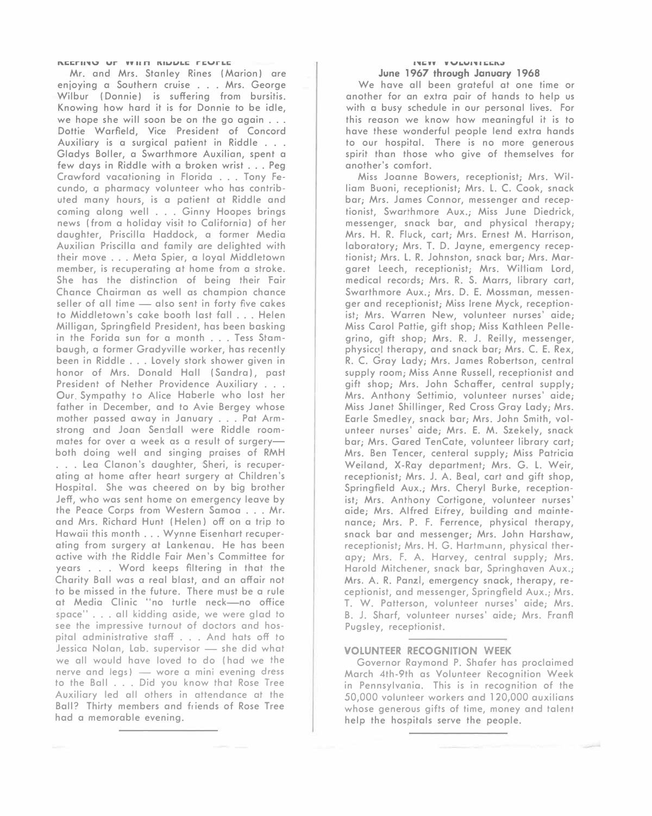**Mr. and Mrs. Stanley Rines (Marion) are enjoying a Southern cruise ... Mrs. George Wilbur (Donnie) is suffering from bursitis. Knowing how hard it is for Donnie to be idle, we hope she will soon be on the go again ... Dottie Warfield, Vice President of Concord Auxiliary is a surgical patient in Riddle ... Gladys Boller, a Swarthmore Auxilien, spent a few days in Riddle with a broken wrist ... Peg Crawford vacationing in Florida ... Tony Fecundo, a pharmacy volunteer who has contributed many hours, is a patient at Riddle and coming along well ... Ginny Hoopes brings news ( from a holiday visit to California) of her daughter, Priscilla Haddock, a former Media Auxilien Priscilla and family are delighted with their move ... Meta Spier, a loyal Middletown member, is recuperating at home from a stroke. She has the distinction of being their Fair Chance Chairman as well as champion chance seller of all time - also sent in forty five cakes to Middletown's cake booth last fall ... Helen Milligan, Springfield President, has been basking in the Forida sun for a month ... Tess Stambaugh, a former Gradyville worker, has recently been in Riddle ... Lovely stork shower given in honor of Mrs. Donald Hall (Sandra), past President of Nether Providence Auxiliary ... Our. Sympathy to Alice Haberle who lost her father in December, and to Avie Bergey whose mother passed away in January ... Pat Arm**strong and Joan Sendall were Riddle roommates for over a week as a result of surgery**both doing well and singing praises of RMH**  . . . Lea Clanon's daughter, Sheri, is recuper**ating at home after heart surgery at Children's Hospital. She was cheered on by big brother Jeff, who was sent home on emergency leave by the Peace Corps from Western Samoa ... Mr. and Mrs. Richard Hunt (Helen) off on a trip to Hawaii this month ... Wynne Eisenhart recuperating from surgery at Lankenau. He has been active with the Riddle Fair Men's Committee for years ... Word keeps filtering in that the Charity Ball was a real blast, and an affair not to be missed in the future. There must be a rule at Media Clinic "no turtle neck-no office space" ... all kidding aside, we were glad to see the impressive turnout of doctors and hospital administrative staff ... And hats off to**  Jessica Nolan, Lab. supervisor - she did what **we all would have loved to do ( had we the nerve and legs) - wore a mini evening dress to the Ball ... Did you know that Rose Tree Auxiliary led all others in attendance at the Ball? Thirty members and friends of Rose Tree had a memorable evening.** 

#### **1***,***1. WY W \JLUI,,\_ 111;1;1\..II June 1967 through January 1968**

**We have all been grateful at one time or another for an extra pair of hands to help us with a busy schedule in our personal lives. For this reason we know how meaningful it is to have these wonderful people lend extra hands to our hospital. There is no more generous spirit than those who give of themselves for another's comfort.** 

**Miss Joanne Bowers, receptionist; Mrs. William Buoni, receptionist; Mrs. L. C. Cook, snack bar; Mrs. James Connor, messenger and receptionist, Swarthmore Aux.; Miss June Diedrick, messenger, snack bar, and physical therapy; Mrs. H. R. Fluck, cart; Mrs. Ernest M. Harrison, laboratory; Mrs. T. D. Jayne, emergency receptionist; Mrs. L. R. Johnston, snack bar; Mrs. Margaret Leech, receptionist; Mrs. William Lord, medical records; Mrs. R. S. Marrs, library cart, Swarthmore Aux.; Mrs. D. E. Mossman, messenger and receptionist; Miss Irene Myck, receptionist; Mrs. Warren New, volunteer nurses' aide; Miss Carol Pattie, gift shop; Miss Kathleen Pellegrino, gift shop; Mrs. R. J. Reilly, messenger,**  physical therapy, and snack bar; Mrs. C. E. Rex, **R. C. Gray Lady; Mrs. James Robertson, central supply room; Miss Anne Russell, receptionist and gift shop; Mrs. John Schaffer, central supply; Mrs. Anthony Settimio, volunteer nurses' aide; Miss Janet Shillinger, Red Cross Gray Lady; Mrs. Earle Smedley, snack bar; Mrs. John Smith, volunteer nurses' aide; Mrs. E. M. Szekely, snack bar; Mrs. Gored TenCate, volunteer library cart; Mrs. Ben Tencer, centeral supply; Miss Patricia Weiland, X-Ray department; Mrs. G. L. Weir, receptionist; Mrs. J. A. Beal, cart and gift shop, Springfield Aux.; Mrs. Cheryl Burke, receptionist; Mrs. Anthony Cortigone, volunteer nurses' aide; Mrs. Alfred E1frey, building and maintenance; Mrs. P. F. Ferrence, physical therapy, snack bar and messenger; Mrs. John Harshaw, receptionist; Mrs. H. G. Hartmunn, physical therapy; Mrs. F. A. Harvey, central supply; Mrs. Harold Mitchener, snack bar, Springhaven Aux.; Mrs. A. R. Ponzi, emergency snack, therapy, receptionist, and messenger, Springfield Aux.; Mrs. T. W. Patterson, volunteer nurses' aide; Mrs. B. J. Sharf, volunteer nurses' aide; Mrs. Frantl Pugsley, receptionist.** 

#### **VOLUNTEER RECOGNITION WEEK**

**Governor Raymond P. Shafer has proclaimed March 4th-9th as Volunteer Recognition Week in Pennsylvania. This is in recognition of the**  50,000 **volunteer workers and** 120,000 **auxilians whose generous gifts of time, money and talent help the hospitals serve the people.**